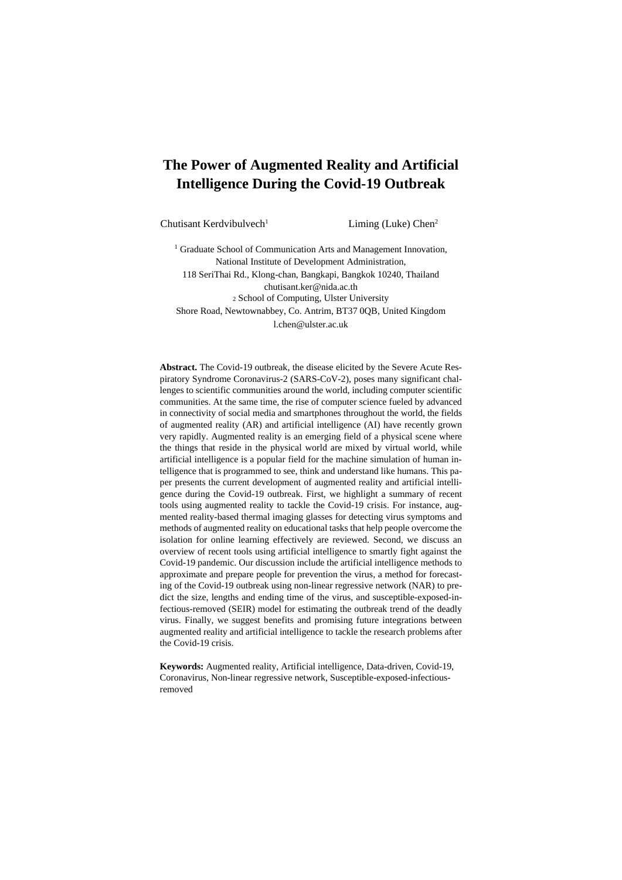# **The Power of Augmented Reality and Artificial Intelligence During the Covid-19 Outbreak**

Chutisant Kerdvibulvech<sup>1</sup> Liming (Luke) Chen<sup>2</sup>

<sup>1</sup> Graduate School of Communication Arts and Management Innovation, National Institute of Development Administration, 118 SeriThai Rd., Klong-chan, Bangkapi, Bangkok 10240, Thailand chutisant.ker@nida.ac.th <sup>2</sup> School of Computing, Ulster University Shore Road, Newtownabbey, Co. Antrim, BT37 0QB, United Kingdom l.chen@ulster.ac.uk

**Abstract.** The Covid-19 outbreak, the disease elicited by the Severe Acute Respiratory Syndrome Coronavirus-2 (SARS-CoV-2), poses many significant challenges to scientific communities around the world, including computer scientific communities. At the same time, the rise of computer science fueled by advanced in connectivity of social media and smartphones throughout the world, the fields of augmented reality (AR) and artificial intelligence (AI) have recently grown very rapidly. Augmented reality is an emerging field of a physical scene where the things that reside in the physical world are mixed by virtual world, while artificial intelligence is a popular field for the machine simulation of human intelligence that is programmed to see, think and understand like humans. This paper presents the current development of augmented reality and artificial intelligence during the Covid-19 outbreak. First, we highlight a summary of recent tools using augmented reality to tackle the Covid-19 crisis. For instance, augmented reality-based thermal imaging glasses for detecting virus symptoms and methods of augmented reality on educational tasks that help people overcome the isolation for online learning effectively are reviewed. Second, we discuss an overview of recent tools using artificial intelligence to smartly fight against the Covid-19 pandemic. Our discussion include the artificial intelligence methods to approximate and prepare people for prevention the virus, a method for forecasting of the Covid-19 outbreak using non-linear regressive network (NAR) to predict the size, lengths and ending time of the virus, and susceptible-exposed-infectious-removed (SEIR) model for estimating the outbreak trend of the deadly virus. Finally, we suggest benefits and promising future integrations between augmented reality and artificial intelligence to tackle the research problems after the Covid-19 crisis.

**Keywords:** Augmented reality, Artificial intelligence, Data-driven, Covid-19, Coronavirus, Non-linear regressive network, Susceptible-exposed-infectiousremoved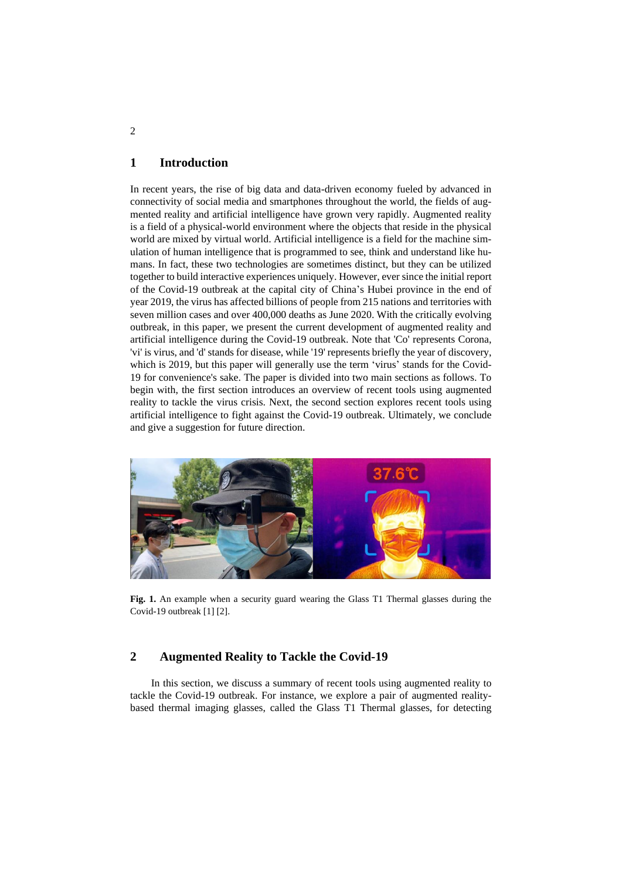### **1 Introduction**

In recent years, the rise of big data and data-driven economy fueled by advanced in connectivity of social media and smartphones throughout the world, the fields of augmented reality and artificial intelligence have grown very rapidly. Augmented reality is a field of a physical-world environment where the objects that reside in the physical world are mixed by virtual world. Artificial intelligence is a field for the machine simulation of human intelligence that is programmed to see, think and understand like humans. In fact, these two technologies are sometimes distinct, but they can be utilized together to build interactive experiences uniquely. However, ever since the initial report of the Covid-19 outbreak at the capital city of China's Hubei province in the end of year 2019, the virus has affected billions of people from 215 nations and territories with seven million cases and over 400,000 deaths as June 2020. With the critically evolving outbreak, in this paper, we present the current development of augmented reality and artificial intelligence during the Covid-19 outbreak. Note that 'Co' represents Corona, 'vi' is virus, and 'd' stands for disease, while '19' represents briefly the year of discovery, which is 2019, but this paper will generally use the term 'virus' stands for the Covid-19 for convenience's sake. The paper is divided into two main sections as follows. To begin with, the first section introduces an overview of recent tools using augmented reality to tackle the virus crisis. Next, the second section explores recent tools using artificial intelligence to fight against the Covid-19 outbreak. Ultimately, we conclude and give a suggestion for future direction.



**Fig. 1.** An example when a security guard wearing the Glass T1 Thermal glasses during the Covid-19 outbreak [1] [2].

#### **2 Augmented Reality to Tackle the Covid-19**

 In this section, we discuss a summary of recent tools using augmented reality to tackle the Covid-19 outbreak. For instance, we explore a pair of augmented realitybased thermal imaging glasses, called the Glass T1 Thermal glasses, for detecting

2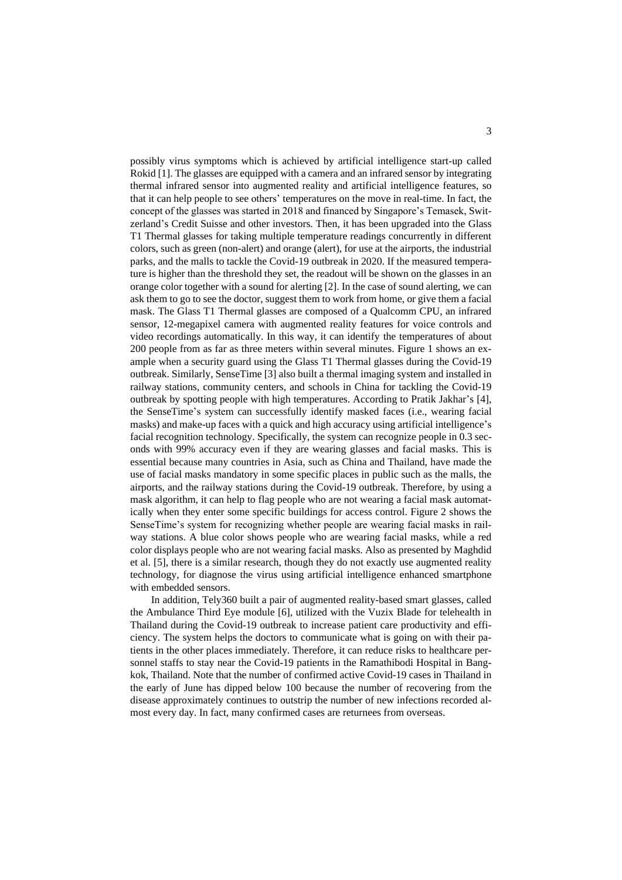possibly virus symptoms which is achieved by artificial intelligence start-up called Rokid [1]. The glasses are equipped with a camera and an infrared sensor by integrating thermal infrared sensor into augmented reality and artificial intelligence features, so that it can help people to see others' temperatures on the move in real-time. In fact, the concept of the glasses was started in 2018 and financed by Singapore's Temasek, Switzerland's Credit Suisse and other investors. Then, it has been upgraded into the Glass T1 Thermal glasses for taking multiple temperature readings concurrently in different colors, such as green (non-alert) and orange (alert), for use at the airports, the industrial parks, and the malls to tackle the Covid-19 outbreak in 2020. If the measured temperature is higher than the threshold they set, the readout will be shown on the glasses in an orange color together with a sound for alerting [2]. In the case of sound alerting, we can ask them to go to see the doctor, suggest them to work from home, or give them a facial mask. The Glass T1 Thermal glasses are composed of a Qualcomm CPU, an infrared sensor, 12-megapixel camera with augmented reality features for voice controls and video recordings automatically. In this way, it can identify the temperatures of about 200 people from as far as three meters within several minutes. Figure 1 shows an example when a security guard using the Glass T1 Thermal glasses during the Covid-19 outbreak. Similarly, SenseTime [3] also built a thermal imaging system and installed in railway stations, community centers, and schools in China for tackling the Covid-19 outbreak by spotting people with high temperatures. According to Pratik Jakhar's [4], the SenseTime's system can successfully identify masked faces (i.e., wearing facial masks) and make-up faces with a quick and high accuracy using artificial intelligence's facial recognition technology. Specifically, the system can recognize people in 0.3 seconds with 99% accuracy even if they are wearing glasses and facial masks. This is essential because many countries in Asia, such as China and Thailand, have made the use of facial masks mandatory in some specific places in public such as the malls, the airports, and the railway stations during the Covid-19 outbreak. Therefore, by using a mask algorithm, it can help to flag people who are not wearing a facial mask automatically when they enter some specific buildings for access control. Figure 2 shows the SenseTime's system for recognizing whether people are wearing facial masks in railway stations. A blue color shows people who are wearing facial masks, while a red color displays people who are not wearing facial masks. Also as presented by Maghdid et al. [5], there is a similar research, though they do not exactly use augmented reality technology, for diagnose the virus using artificial intelligence enhanced smartphone with embedded sensors.

 In addition, Tely360 built a pair of augmented reality-based smart glasses, called the Ambulance Third Eye module [6], utilized with the Vuzix Blade for telehealth in Thailand during the Covid-19 outbreak to increase patient care productivity and efficiency. The system helps the doctors to communicate what is going on with their patients in the other places immediately. Therefore, it can reduce risks to healthcare personnel staffs to stay near the Covid-19 patients in the Ramathibodi Hospital in Bangkok, Thailand. Note that the number of confirmed active Covid-19 cases in Thailand in the early of June has dipped below 100 because the number of recovering from the disease approximately continues to outstrip the number of new infections recorded almost every day. In fact, many confirmed cases are returnees from overseas.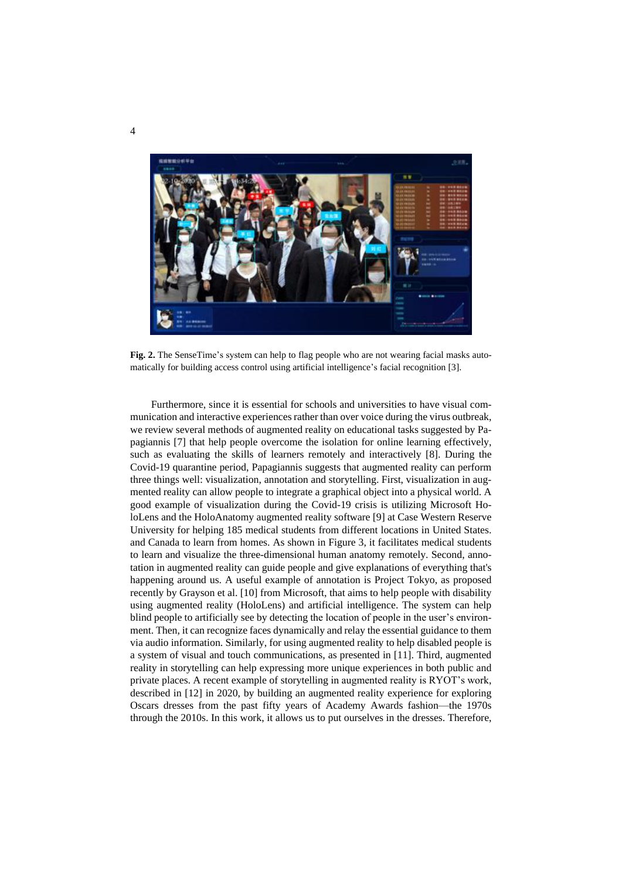

**Fig. 2.** The SenseTime's system can help to flag people who are not wearing facial masks automatically for building access control using artificial intelligence's facial recognition [3].

 Furthermore, since it is essential for schools and universities to have visual communication and interactive experiences rather than over voice during the virus outbreak, we review several methods of augmented reality on educational tasks suggested by Papagiannis [7] that help people overcome the isolation for online learning effectively, such as evaluating the skills of learners remotely and interactively [8]. During the Covid-19 quarantine period, Papagiannis suggests that augmented reality can perform three things well: visualization, annotation and storytelling. First, visualization in augmented reality can allow people to integrate a graphical object into a physical world. A good example of visualization during the Covid-19 crisis is utilizing Microsoft HoloLens and the HoloAnatomy augmented reality software [9] at Case Western Reserve University for helping 185 medical students from different locations in United States. and Canada to learn from homes. As shown in Figure 3, it facilitates medical students to learn and visualize the three-dimensional human anatomy remotely. Second, annotation in augmented reality can guide people and give explanations of everything that's happening around us. A useful example of annotation is Project Tokyo, as proposed recently by Grayson et al. [10] from Microsoft, that aims to help people with disability using augmented reality (HoloLens) and artificial intelligence. The system can help blind people to artificially see by detecting the location of people in the user's environment. Then, it can recognize faces dynamically and relay the essential guidance to them via audio information. Similarly, for using augmented reality to help disabled people is a system of visual and touch communications, as presented in [11]. Third, augmented reality in storytelling can help expressing more unique experiences in both public and private places. A recent example of storytelling in augmented reality is RYOT's work, described in [12] in 2020, by building an augmented reality experience for exploring Oscars dresses from the past fifty years of Academy Awards fashion—the 1970s through the 2010s. In this work, it allows us to put ourselves in the dresses. Therefore,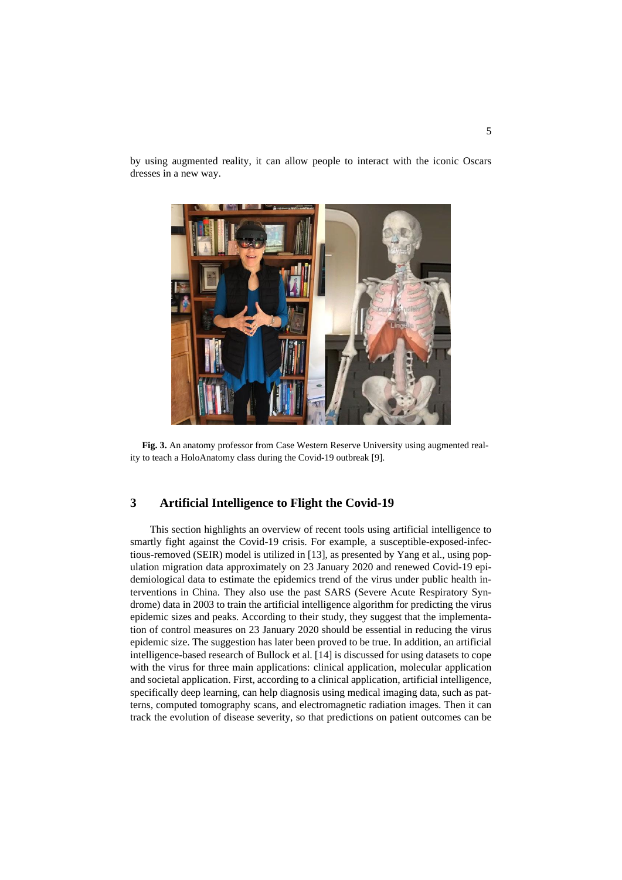by using augmented reality, it can allow people to interact with the iconic Oscars dresses in a new way.



**Fig. 3.** An anatomy professor from Case Western Reserve University using augmented reality to teach a HoloAnatomy class during the Covid-19 outbreak [9].

#### **3 Artificial Intelligence to Flight the Covid-19**

 This section highlights an overview of recent tools using artificial intelligence to smartly fight against the Covid-19 crisis. For example, a susceptible-exposed-infectious-removed (SEIR) model is utilized in [13], as presented by Yang et al., using population migration data approximately on 23 January 2020 and renewed Covid-19 epidemiological data to estimate the epidemics trend of the virus under public health interventions in China. They also use the past SARS (Severe Acute Respiratory Syndrome) data in 2003 to train the artificial intelligence algorithm for predicting the virus epidemic sizes and peaks. According to their study, they suggest that the implementation of control measures on 23 January 2020 should be essential in reducing the virus epidemic size. The suggestion has later been proved to be true. In addition, an artificial intelligence-based research of Bullock et al. [14] is discussed for using datasets to cope with the virus for three main applications: clinical application, molecular application and societal application. First, according to a clinical application, artificial intelligence, specifically deep learning, can help diagnosis using medical imaging data, such as patterns, computed tomography scans, and electromagnetic radiation images. Then it can track the evolution of disease severity, so that predictions on patient outcomes can be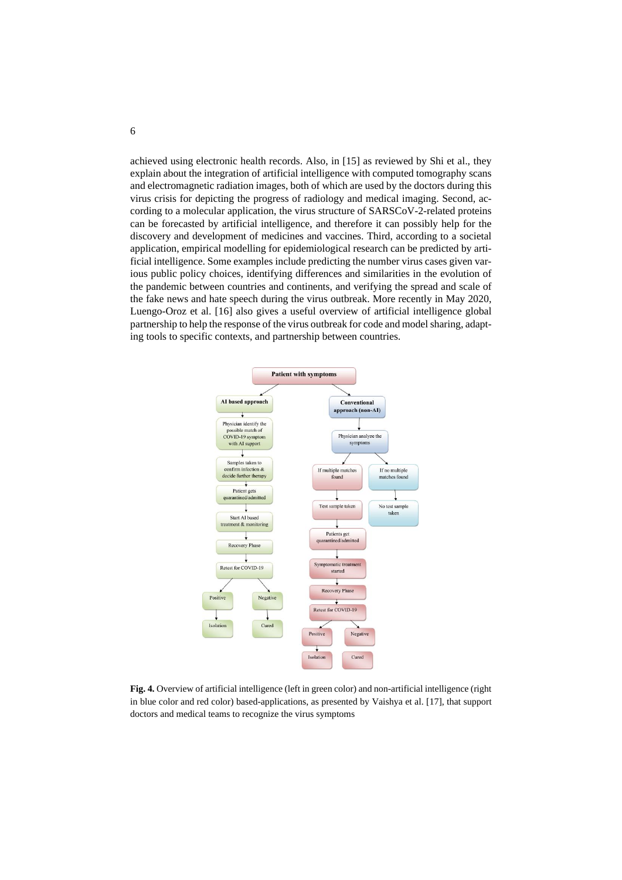achieved using electronic health records. Also, in [15] as reviewed by Shi et al., they explain about the integration of artificial intelligence with computed tomography scans and electromagnetic radiation images, both of which are used by the doctors during this virus crisis for depicting the progress of radiology and medical imaging. Second, according to a molecular application, the virus structure of SARSCoV-2-related proteins can be forecasted by artificial intelligence, and therefore it can possibly help for the discovery and development of medicines and vaccines. Third, according to a societal application, empirical modelling for epidemiological research can be predicted by artificial intelligence. Some examples include predicting the number virus cases given various public policy choices, identifying differences and similarities in the evolution of the pandemic between countries and continents, and verifying the spread and scale of the fake news and hate speech during the virus outbreak. More recently in May 2020, Luengo-Oroz et al. [16] also gives a useful overview of artificial intelligence global partnership to help the response of the virus outbreak for code and model sharing, adapting tools to specific contexts, and partnership between countries.



**Fig. 4.** Overview of artificial intelligence (left in green color) and non-artificial intelligence (right in blue color and red color) based-applications, as presented by Vaishya et al. [17], that support doctors and medical teams to recognize the virus symptoms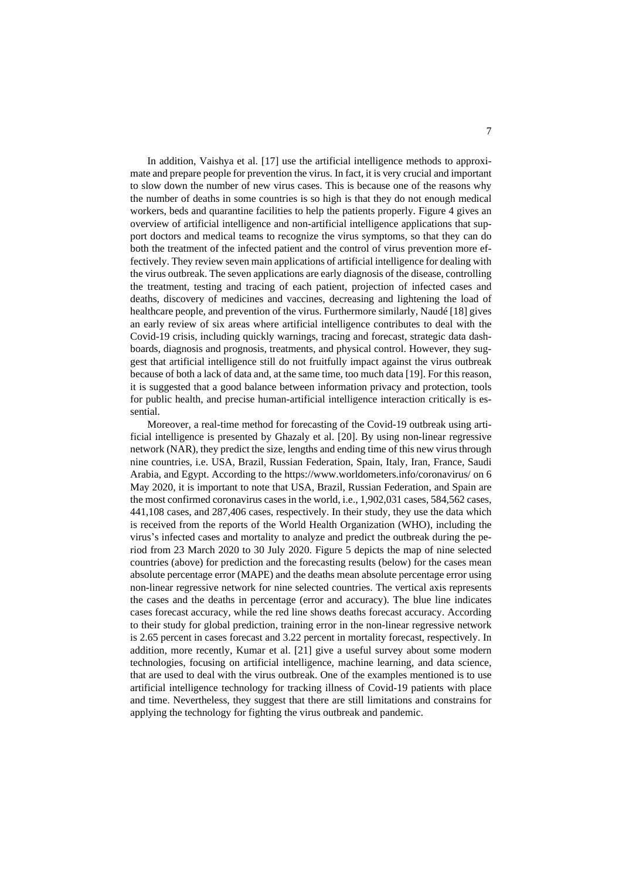In addition, Vaishya et al. [17] use the artificial intelligence methods to approximate and prepare people for prevention the virus. In fact, it is very crucial and important to slow down the number of new virus cases. This is because one of the reasons why the number of deaths in some countries is so high is that they do not enough medical workers, beds and quarantine facilities to help the patients properly. Figure 4 gives an overview of artificial intelligence and non-artificial intelligence applications that support doctors and medical teams to recognize the virus symptoms, so that they can do both the treatment of the infected patient and the control of virus prevention more effectively. They review seven main applications of artificial intelligence for dealing with the virus outbreak. The seven applications are early diagnosis of the disease, controlling the treatment, testing and tracing of each patient, projection of infected cases and deaths, discovery of medicines and vaccines, decreasing and lightening the load of healthcare people, and prevention of the virus. Furthermore similarly, Naudé [18] gives an early review of six areas where artificial intelligence contributes to deal with the Covid-19 crisis, including quickly warnings, tracing and forecast, strategic data dashboards, diagnosis and prognosis, treatments, and physical control. However, they suggest that artificial intelligence still do not fruitfully impact against the virus outbreak because of both a lack of data and, at the same time, too much data [19]. For this reason, it is suggested that a good balance between information privacy and protection, tools for public health, and precise human-artificial intelligence interaction critically is essential.

 Moreover, a real-time method for forecasting of the Covid-19 outbreak using artificial intelligence is presented by Ghazaly et al. [20]. By using non-linear regressive network (NAR), they predict the size, lengths and ending time of this new virus through nine countries, i.e. USA, Brazil, Russian Federation, Spain, Italy, Iran, France, Saudi Arabia, and Egypt. According to the<https://www.worldometers.info/coronavirus/> on 6 May 2020, it is important to note that USA, Brazil, Russian Federation, and Spain are the most confirmed coronavirus cases in the world, i.e., 1,902,031 cases, 584,562 cases, 441,108 cases, and 287,406 cases, respectively. In their study, they use the data which is received from the reports of the World Health Organization (WHO), including the virus's infected cases and mortality to analyze and predict the outbreak during the period from 23 March 2020 to 30 July 2020. Figure 5 depicts the map of nine selected countries (above) for prediction and the forecasting results (below) for the cases mean absolute percentage error (MAPE) and the deaths mean absolute percentage error using non-linear regressive network for nine selected countries. The vertical axis represents the cases and the deaths in percentage (error and accuracy). The blue line indicates cases forecast accuracy, while the red line shows deaths forecast accuracy. According to their study for global prediction, training error in the non-linear regressive network is 2.65 percent in cases forecast and 3.22 percent in mortality forecast, respectively. In addition, more recently, Kumar et al. [21] give a useful survey about some modern technologies, focusing on artificial intelligence, machine learning, and data science, that are used to deal with the virus outbreak. One of the examples mentioned is to use artificial intelligence technology for tracking illness of Covid-19 patients with place and time. Nevertheless, they suggest that there are still limitations and constrains for applying the technology for fighting the virus outbreak and pandemic.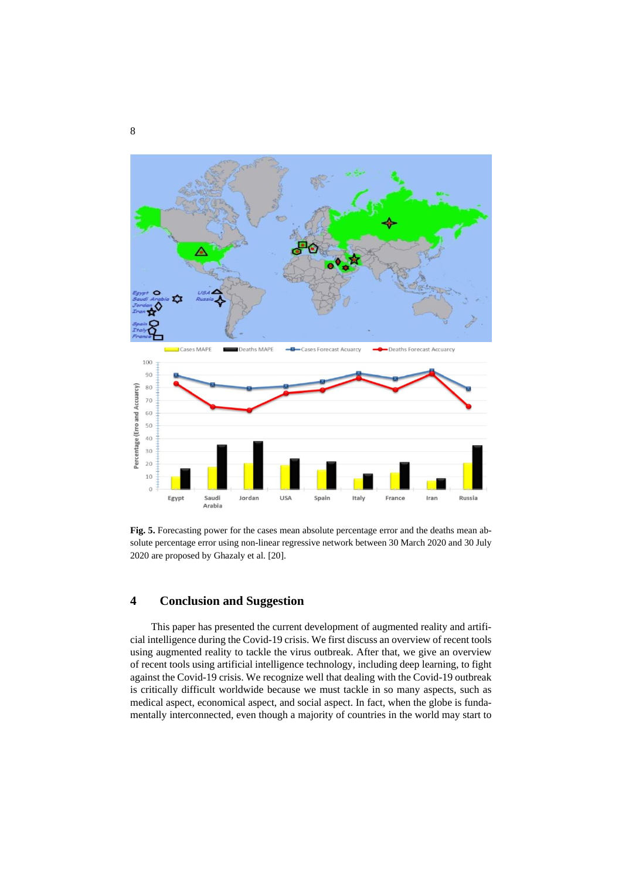

**Fig. 5.** Forecasting power for the cases mean absolute percentage error and the deaths mean absolute percentage error using non-linear regressive network between 30 March 2020 and 30 July 2020 are proposed by Ghazaly et al. [20].

## **4 Conclusion and Suggestion**

 This paper has presented the current development of augmented reality and artificial intelligence during the Covid-19 crisis. We first discuss an overview of recent tools using augmented reality to tackle the virus outbreak. After that, we give an overview of recent tools using artificial intelligence technology, including deep learning, to fight against the Covid-19 crisis. We recognize well that dealing with the Covid-19 outbreak is critically difficult worldwide because we must tackle in so many aspects, such as medical aspect, economical aspect, and social aspect. In fact, when the globe is fundamentally interconnected, even though a majority of countries in the world may start to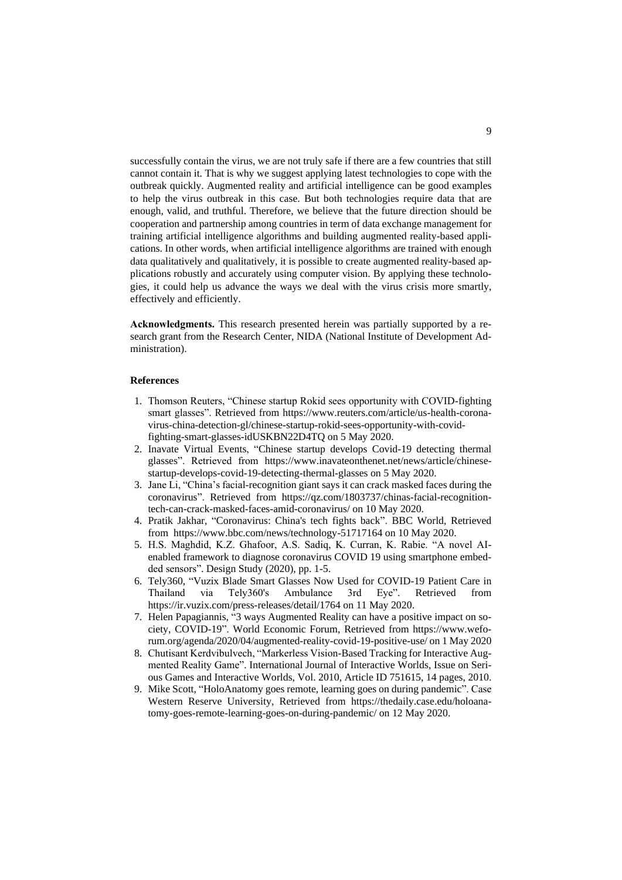successfully contain the virus, we are not truly safe if there are a few countries that still cannot contain it. That is why we suggest applying latest technologies to cope with the outbreak quickly. Augmented reality and artificial intelligence can be good examples to help the virus outbreak in this case. But both technologies require data that are enough, valid, and truthful. Therefore, we believe that the future direction should be cooperation and partnership among countries in term of data exchange management for training artificial intelligence algorithms and building augmented reality-based applications. In other words, when artificial intelligence algorithms are trained with enough data qualitatively and qualitatively, it is possible to create augmented reality-based applications robustly and accurately using computer vision. By applying these technologies, it could help us advance the ways we deal with the virus crisis more smartly, effectively and efficiently.

**Acknowledgments.** This research presented herein was partially supported by a research grant from the Research Center, NIDA (National Institute of Development Administration).

#### **References**

- 1. Thomson Reuters, "Chinese startup Rokid sees opportunity with COVID-fighting smart glasses". Retrieved from [https://www.reuters.com/article/us-health-corona](https://www.reuters.com/article/us-health-coronavirus-china-detection-gl/chinese-startup-rokid-sees-opportunity-with-covid-fighting-smart-glasses-idUSKBN22D4TQ%20on%205%20May%202020)[virus-china-detection-gl/chinese-startup-rokid-sees-opportunity-with-covid](https://www.reuters.com/article/us-health-coronavirus-china-detection-gl/chinese-startup-rokid-sees-opportunity-with-covid-fighting-smart-glasses-idUSKBN22D4TQ%20on%205%20May%202020)[fighting-smart-glasses-idUSKBN22D4TQ on 5 May 2020.](https://www.reuters.com/article/us-health-coronavirus-china-detection-gl/chinese-startup-rokid-sees-opportunity-with-covid-fighting-smart-glasses-idUSKBN22D4TQ%20on%205%20May%202020)
- 2. Inavate Virtual Events, "Chinese startup develops Covid-19 detecting thermal glasses". Retrieved from [https://www.inavateonthenet.net/news/article/chinese](https://www.inavateonthenet.net/news/article/chinese-startup-develops-covid-19-detecting-thermal-glasses)[startup-develops-covid-19-detecting-thermal-glasses](https://www.inavateonthenet.net/news/article/chinese-startup-develops-covid-19-detecting-thermal-glasses) on 5 May 2020.
- 3. Jane Li, "China's facial-recognition giant says it can crack masked faces during the coronavirus". Retrieved from [https://qz.com/1803737/chinas-facial-recognition](https://qz.com/1803737/chinas-facial-recognition-tech-can-crack-masked-faces-amid-coronavirus/)[tech-can-crack-masked-faces-amid-coronavirus/](https://qz.com/1803737/chinas-facial-recognition-tech-can-crack-masked-faces-amid-coronavirus/) on 10 May 2020.
- 4. Pratik Jakhar, "Coronavirus: China's tech fights back". BBC World, Retrieved from [https://www.bbc.com/news/technology-51717164](https://www.bbc.com/news/technology-51717164%20on%2010%20May%202020) on 10 May 2020.
- 5. H.S. Maghdid, K.Z. Ghafoor, A.S. Sadiq, K. Curran, K. Rabie. "A novel AIenabled framework to diagnose coronavirus COVID 19 using smartphone embedded sensors". Design Study (2020), pp. 1-5.
- 6. Tely360, "Vuzix Blade Smart Glasses Now Used for COVID-19 Patient Care in Thailand via Tely360's Ambulance 3rd Eye". Retrieved from <https://ir.vuzix.com/press-releases/detail/1764> on 11 May 2020.
- 7. Helen Papagiannis, "3 ways Augmented Reality can have a positive impact on society, COVID-19". World Economic Forum, Retrieved from [https://www.wefo](https://www.weforum.org/agenda/2020/04/augmented-reality-covid-19-positive-use/)[rum.org/agenda/2020/04/augmented-reality-covid-19-positive-use/](https://www.weforum.org/agenda/2020/04/augmented-reality-covid-19-positive-use/) on 1 May 2020
- 8. Chutisant Kerdvibulvech, "Markerless Vision-Based Tracking for Interactive Augmented Reality Game". International Journal of Interactive Worlds, Issue on Serious Games and Interactive Worlds, Vol. 2010, Article ID 751615, 14 pages, 2010.
- 9. Mike Scott, "HoloAnatomy goes remote, learning goes on during pandemic". Case Western Reserve University, Retrieved from [https://thedaily.case.edu/holoana](https://thedaily.case.edu/holoanatomy-goes-remote-learning-goes-on-during-pandemic/)[tomy-goes-remote-learning-goes-on-during-pandemic/](https://thedaily.case.edu/holoanatomy-goes-remote-learning-goes-on-during-pandemic/) on 12 May 2020.